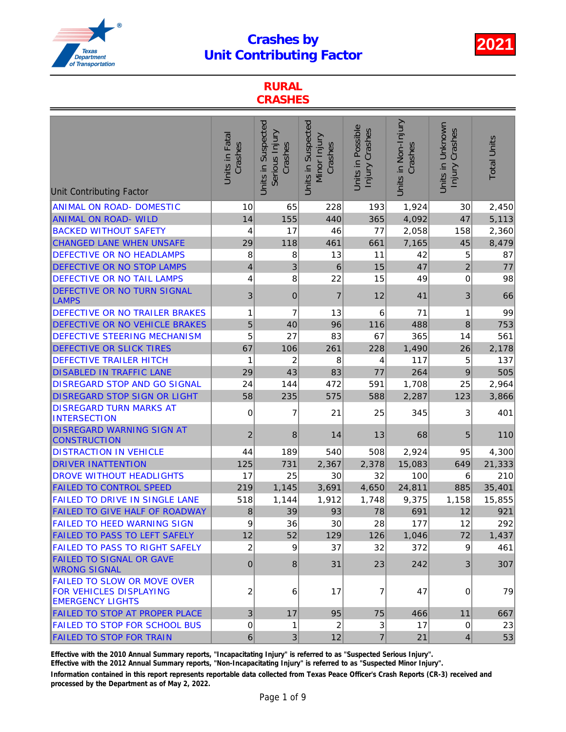

### RURAL **CRASHES**

| <b>Unit Contributing Factor</b>                                                                 | Units in Fatal<br>Crashes | Units in Suspected<br>Serious Injury<br>Crashes | Units in Suspected<br>Minor Injury<br>Crashes | Units in Possible<br>Injury Crashes | Units in Non-Injury<br>Crashes | Units in Unknown<br>Injury Crashes | <b>Total Units</b> |
|-------------------------------------------------------------------------------------------------|---------------------------|-------------------------------------------------|-----------------------------------------------|-------------------------------------|--------------------------------|------------------------------------|--------------------|
| <b>ANIMAL ON ROAD- DOMESTIC</b>                                                                 | 10                        | 65                                              | 228                                           | 193                                 | 1,924                          | 30                                 | 2,450              |
| <b>ANIMAL ON ROAD- WILD</b>                                                                     | 14                        | 155                                             | 440                                           | 365                                 | 4,092                          | 47                                 | 5,113              |
| <b>BACKED WITHOUT SAFETY</b>                                                                    | 4                         | 17                                              | 46                                            | 77                                  | 2,058                          | 158                                | 2,360              |
| CHANGED LANE WHEN UNSAFE                                                                        | 29                        | 118                                             | 461                                           | 661                                 | 7,165                          | 45                                 | 8,479              |
| <b>DEFECTIVE OR NO HEADLAMPS</b>                                                                | 8                         | 8                                               | 13                                            | 11                                  | 42                             | 5                                  | 87                 |
| <b>DEFECTIVE OR NO STOP LAMPS</b>                                                               | $\overline{\mathbf{4}}$   | 3                                               | $\,$ 6                                        | 15                                  | 47                             | $\overline{2}$                     | 77                 |
| <b>DEFECTIVE OR NO TAIL LAMPS</b>                                                               | 4                         | 8                                               | 22                                            | 15                                  | 49                             | $\mathbf 0$                        | 98                 |
| <b>DEFECTIVE OR NO TURN SIGNAL</b><br><b>LAMPS</b>                                              | 3                         | $\mathbf 0$                                     | $\overline{7}$                                | 12                                  | 41                             | 3                                  | 66                 |
| <b>DEFECTIVE OR NO TRAILER BRAKES</b>                                                           | 1                         | 7                                               | 13                                            | 6                                   | 71                             | 1                                  | 99                 |
| <b>DEFECTIVE OR NO VEHICLE BRAKES</b>                                                           | 5                         | 40                                              | 96                                            | 116                                 | 488                            | $\bf8$                             | 753                |
| <b>DEFECTIVE STEERING MECHANISM</b>                                                             | 5                         | 27                                              | 83                                            | 67                                  | 365                            | 14                                 | 561                |
| <b>DEFECTIVE OR SLICK TIRES</b>                                                                 | 67                        | 106                                             | 261                                           | 228                                 | 1,490                          | 26                                 | 2,178              |
| <b>DEFECTIVE TRAILER HITCH</b>                                                                  | 1                         | $\overline{\mathbf{c}}$                         | 8                                             | 4                                   | 117                            | 5                                  | 137                |
| <b>DISABLED IN TRAFFIC LANE</b>                                                                 | 29                        | 43                                              | 83                                            | 77                                  | 264                            | 9                                  | 505                |
| <b>DISREGARD STOP AND GO SIGNAL</b>                                                             | 24                        | 144                                             | 472                                           | 591                                 | 1,708                          | 25                                 | 2,964              |
| <b>DISREGARD STOP SIGN OR LIGHT</b>                                                             | 58                        | 235                                             | 575                                           | 588                                 | 2,287                          | 123                                | 3,866              |
| <b>DISREGARD TURN MARKS AT</b><br><b>INTERSECTION</b>                                           | 0                         | 7                                               | 21                                            | 25                                  | 345                            | 3                                  | 401                |
| <b>DISREGARD WARNING SIGN AT</b><br><b>CONSTRUCTION</b>                                         | $\overline{2}$            | 8                                               | 14                                            | 13                                  | 68                             | 5                                  | 110                |
| <b>DISTRACTION IN VEHICLE</b>                                                                   | 44                        | 189                                             | 540                                           | 508                                 | 2,924                          | 95                                 | 4,300              |
| <b>DRIVER INATTENTION</b>                                                                       | 125                       | 731                                             | 2,367                                         | 2,378                               | 15,083                         | 649                                | 21,333             |
| <b>DROVE WITHOUT HEADLIGHTS</b>                                                                 | 17                        | 25                                              | 30                                            | 32                                  | 100                            | 6                                  | 210                |
| <b>FAILED TO CONTROL SPEED</b>                                                                  | 219                       | 1,145                                           | 3,691                                         | 4,650                               | 24,811                         | 885                                | 35,401             |
| <b>FAILED TO DRIVE IN SINGLE LANE</b>                                                           | 518                       | 1,144                                           | 1,912                                         | 1,748                               | 9,375                          | 1,158                              | 15,855             |
| <b>FAILED TO GIVE HALF OF ROADWAY</b>                                                           | 8                         | 39                                              | 93                                            | 78                                  | 691                            | 12                                 | 921                |
| <b>FAILED TO HEED WARNING SIGN</b>                                                              | 9                         | 36                                              | $30\,$                                        | 28                                  | 177                            | 12                                 | 292                |
| <b>FAILED TO PASS TO LEFT SAFELY</b>                                                            | 12                        | 52                                              | 129                                           | 126                                 | 1,046                          | 72                                 | 1,437              |
| <b>FAILED TO PASS TO RIGHT SAFELY</b>                                                           | $\overline{c}$            | 9                                               | 37                                            | 32                                  | 372                            | 9                                  | 461                |
| <b>FAILED TO SIGNAL OR GAVE</b><br><b>WRONG SIGNAL</b>                                          | $\mathbf{0}$              | 8                                               | 31                                            | 23                                  | 242                            | 3 <sup>2</sup>                     | 307                |
| <b>FAILED TO SLOW OR MOVE OVER</b><br><b>FOR VEHICLES DISPLAYING</b><br><b>EMERGENCY LIGHTS</b> | $\overline{c}$            | 6                                               | 17                                            | 7                                   | 47                             | 0                                  | 79                 |
| FAILED TO STOP AT PROPER PLACE                                                                  | 3 <sup>2</sup>            | 17                                              | 95                                            | 75                                  | 466                            | 11                                 | 667                |
| <b>FAILED TO STOP FOR SCHOOL BUS</b>                                                            | $\pmb{0}$                 | 1                                               | $\overline{2}$                                | 3                                   | 17                             | $\mathbf 0$                        | 23                 |
| <b>FAILED TO STOP FOR TRAIN</b>                                                                 | 6 <sup>1</sup>            | $\mathfrak{B}$                                  | 12                                            | $\overline{7}$                      | 21                             | $\vert 4 \vert$                    | 53                 |

Effective with the 2010 Annual Summary reports, "Incapacitating Injury" is referred to as "Suspected Serious Injury".

Effective with the 2012 Annual Summary reports, "Non-Incapacitating Injury" is referred to as "Suspected Minor Injury".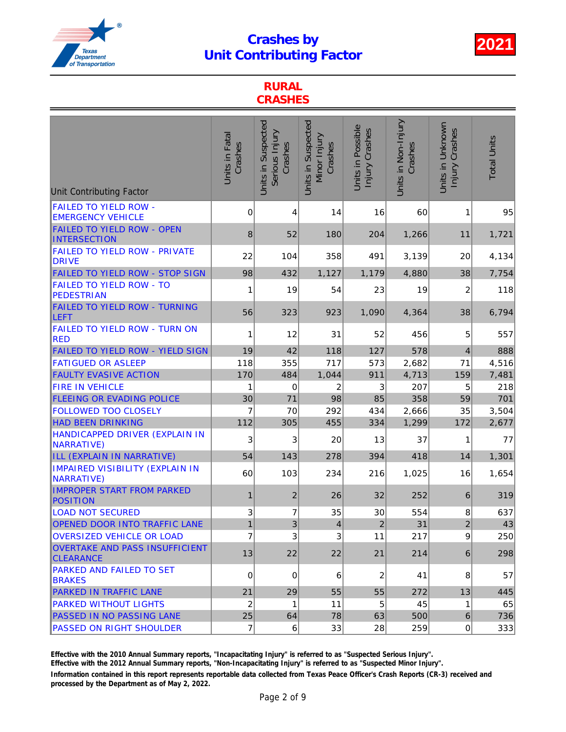

### RURAL **CRASHES**

| <b>Unit Contributing Factor</b>                             | Units in Fatal<br>Crashes | Units in Suspected<br>Serious Injury<br>Crashes | Units in Suspected<br>Minor Injury<br>Crashes | Units in Possible<br>Injury Crashes | Units in Non-Injury<br>Crashes | Units in Unknown<br>Injury Crashes | <b>Total Units</b> |
|-------------------------------------------------------------|---------------------------|-------------------------------------------------|-----------------------------------------------|-------------------------------------|--------------------------------|------------------------------------|--------------------|
| <b>FAILED TO YIELD ROW -</b><br><b>EMERGENCY VEHICLE</b>    | 0                         | 4                                               | 14                                            | 16                                  | 60                             | 1                                  | 95                 |
| <b>FAILED TO YIELD ROW - OPEN</b><br><b>INTERSECTION</b>    | 8                         | 52                                              | 180                                           | 204                                 | 1,266                          | 11                                 | 1,721              |
| FAILED TO YIELD ROW - PRIVATE<br><b>DRIVE</b>               | 22                        | 104                                             | 358                                           | 491                                 | 3,139                          | 20                                 | 4,134              |
| FAILED TO YIELD ROW - STOP SIGN                             | 98                        | 432                                             | 1,127                                         | 1,179                               | 4,880                          | 38                                 | 7,754              |
| <b>FAILED TO YIELD ROW - TO</b><br><b>PEDESTRIAN</b>        | 1                         | 19                                              | 54                                            | 23                                  | 19                             | 2                                  | 118                |
| <b>FAILED TO YIELD ROW - TURNING</b><br><b>LEFT</b>         | 56                        | 323                                             | 923                                           | 1,090                               | 4,364                          | 38                                 | 6,794              |
| FAILED TO YIELD ROW - TURN ON<br><b>RED</b>                 | 1                         | 12                                              | 31                                            | 52                                  | 456                            | 5                                  | 557                |
| FAILED TO YIELD ROW - YIELD SIGN                            | 19                        | 42                                              | 118                                           | 127                                 | 578                            | 4                                  | 888                |
| <b>FATIGUED OR ASLEEP</b>                                   | 118                       | 355                                             | 717                                           | 573                                 | 2,682                          | 71                                 | 4,516              |
| <b>FAULTY EVASIVE ACTION</b>                                | 170                       | 484                                             | 1,044                                         | 911                                 | 4,713                          | 159                                | 7,481              |
| <b>FIRE IN VEHICLE</b>                                      | 1                         | 0                                               | 2                                             | 3                                   | 207                            | 5                                  | 218                |
| <b>FLEEING OR EVADING POLICE</b>                            | 30                        | 71                                              | 98                                            | 85                                  | 358                            | 59                                 | 701                |
| <b>FOLLOWED TOO CLOSELY</b>                                 | 7                         | 70                                              | 292                                           | 434                                 | 2,666                          | 35                                 | 3,504              |
| <b>HAD BEEN DRINKING</b>                                    | 112                       | 305                                             | 455                                           | 334                                 | 1,299                          | 172                                | 2,677              |
| HANDICAPPED DRIVER (EXPLAIN IN<br><b>NARRATIVE)</b>         | 3                         | 3                                               | 20                                            | 13                                  | 37                             | 1                                  | 77                 |
| ILL (EXPLAIN IN NARRATIVE)                                  | 54                        | 143                                             | 278                                           | 394                                 | 418                            | 14                                 | 1,301              |
| <b>IMPAIRED VISIBILITY (EXPLAIN IN</b><br><b>NARRATIVE)</b> | 60                        | 103                                             | 234                                           | 216                                 | 1,025                          | 16                                 | 1,654              |
| <b>IMPROPER START FROM PARKED</b><br><b>POSITION</b>        | $\mathbf{1}$              | $\overline{\mathbf{c}}$                         | 26                                            | 32                                  | 252                            | 6                                  | 319                |
| <b>LOAD NOT SECURED</b>                                     | 3                         | $\overline{7}$                                  | 35                                            | 30                                  | 554                            | 8                                  | 637                |
| <b>OPENED DOOR INTO TRAFFIC LANE</b>                        | $\mathbf{1}$              | 3                                               | 4                                             | $\sqrt{2}$                          | 31                             | $\overline{c}$                     | 43                 |
| <b>OVERSIZED VEHICLE OR LOAD</b>                            | $\overline{7}$            | 3                                               | 3                                             | 11                                  | 217                            | 9                                  | 250                |
| <b>OVERTAKE AND PASS INSUFFICIENT</b><br><b>CLEARANCE</b>   | 13                        | 22                                              | 22                                            | 21                                  | 214                            | 6                                  | 298                |
| PARKED AND FAILED TO SET<br><b>BRAKES</b>                   | 0                         | $\mathbf 0$                                     | 6                                             | 2                                   | 41                             | 8                                  | 57                 |
| <b>PARKED IN TRAFFIC LANE</b>                               | 21                        | 29                                              | 55                                            | 55                                  | 272                            | 13                                 | 445                |
| <b>PARKED WITHOUT LIGHTS</b>                                | $\overline{c}$            | 1                                               | 11                                            | 5                                   | 45                             | 1                                  | 65                 |
| PASSED IN NO PASSING LANE                                   | 25                        | 64                                              | 78                                            | 63                                  | 500                            | 6                                  | 736                |
| <b>PASSED ON RIGHT SHOULDER</b>                             | $\overline{7}$            | 6                                               | 33                                            | 28                                  | 259                            | 0                                  | 333                |

Effective with the 2010 Annual Summary reports, "Incapacitating Injury" is referred to as "Suspected Serious Injury".

Effective with the 2012 Annual Summary reports, "Non-Incapacitating Injury" is referred to as "Suspected Minor Injury".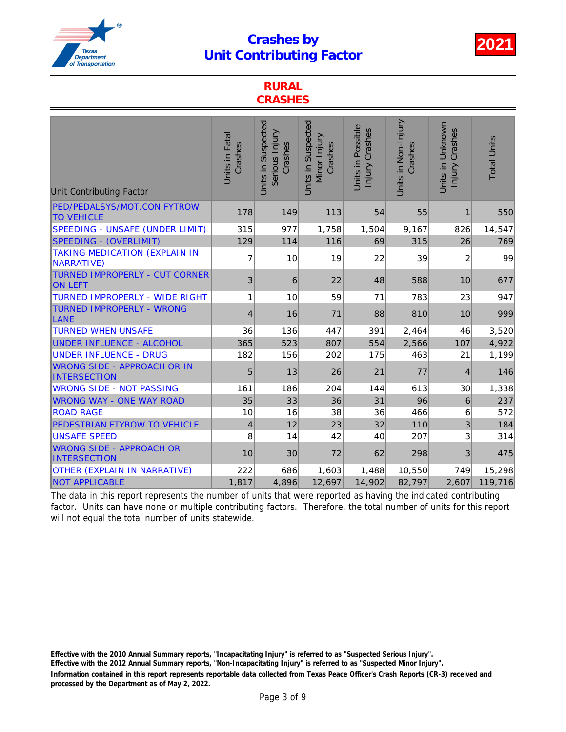

#### RURAL CRASHES

| <b>Unit Contributing Factor</b>                           | Units in Fatal<br>Crashes | Units in Suspected<br>Serious Injury<br>Crashes | Units in Suspected<br>Minor Injury<br>Crashes | Units in Possible<br>Injury Crashes | Units in Non-Injury<br>Crashes | Units in Unknown<br>Injury Crashes | <b>Total Units</b> |
|-----------------------------------------------------------|---------------------------|-------------------------------------------------|-----------------------------------------------|-------------------------------------|--------------------------------|------------------------------------|--------------------|
| PED/PEDALSYS/MOT.CON.FYTROW<br><b>TO VEHICLE</b>          | 178                       | 149                                             | 113                                           | 54                                  | 55                             | 1                                  | 550                |
| SPEEDING - UNSAFE (UNDER LIMIT)                           | 315                       | 977                                             | 1,758                                         | 1,504                               | 9,167                          | 826                                | 14,547             |
| <b>SPEEDING - (OVERLIMIT)</b>                             | 129                       | 114                                             | 116                                           | 69                                  | 315                            | 26                                 | 769                |
| <b>TAKING MEDICATION (EXPLAIN IN</b><br><b>NARRATIVE)</b> | 7                         | 10                                              | 19                                            | 22                                  | 39                             | 2                                  | 99                 |
| <b>TURNED IMPROPERLY - CUT CORNER</b><br><b>ON LEFT</b>   | 3                         | 6                                               | 22                                            | 48                                  | 588                            | 10                                 | 677                |
| <b>TURNED IMPROPERLY - WIDE RIGHT</b>                     | 1                         | 10                                              | 59                                            | 71                                  | 783                            | 23                                 | 947                |
| <b>TURNED IMPROPERLY - WRONG</b><br>LANE                  | 4                         | 16                                              | 71                                            | 88                                  | 810                            | 10                                 | 999                |
| <b>TURNED WHEN UNSAFE</b>                                 | 36                        | 136                                             | 447                                           | 391                                 | 2,464                          | 46                                 | 3,520              |
| <b>UNDER INFLUENCE - ALCOHOL</b>                          | 365                       | 523                                             | 807                                           | 554                                 | 2,566                          | 107                                | 4,922              |
| <b>UNDER INFLUENCE - DRUG</b>                             | 182                       | 156                                             | 202                                           | 175                                 | 463                            | 21                                 | 1,199              |
| <b>WRONG SIDE - APPROACH OR IN</b><br><b>INTERSECTION</b> | 5                         | 13                                              | 26                                            | 21                                  | 77                             | 4                                  | 146                |
| <b>WRONG SIDE - NOT PASSING</b>                           | 161                       | 186                                             | 204                                           | 144                                 | 613                            | 30                                 | 1,338              |
| <b>WRONG WAY - ONE WAY ROAD</b>                           | 35                        | 33                                              | 36                                            | 31                                  | 96                             | 6                                  | 237                |
| <b>ROAD RAGE</b>                                          | 10                        | 16                                              | 38                                            | 36                                  | 466                            | 6                                  | 572                |
| PEDESTRIAN FTYROW TO VEHICLE                              | $\overline{\mathbf{4}}$   | 12                                              | 23                                            | 32                                  | 110                            | 3                                  | 184                |
| <b>UNSAFE SPEED</b>                                       | 8                         | 14                                              | 42                                            | 40                                  | 207                            | 3                                  | 314                |
| <b>WRONG SIDE - APPROACH OR</b><br><b>INTERSECTION</b>    | 10                        | 30                                              | 72                                            | 62                                  | 298                            | 3                                  | 475                |
| <b>OTHER (EXPLAIN IN NARRATIVE)</b>                       | 222                       | 686                                             | 1,603                                         | 1,488                               | 10,550                         | 749                                | 15,298             |
| <b>NOT APPLICABLE</b>                                     | 1,817                     | 4,896                                           | 12,697                                        | 14,902                              | 82,797                         | 2,607                              | 119,716            |

The data in this report represents the number of units that were reported as having the indicated contributing factor. Units can have none or multiple contributing factors. Therefore, the total number of units for this report will not equal the total number of units statewide.

Information contained in this report represents reportable data collected from Texas Peace Officer's Crash Reports (CR-3) received and processed by the Department as of May 2, 2022. Effective with the 2010 Annual Summary reports, "Incapacitating Injury" is referred to as "Suspected Serious Injury". Effective with the 2012 Annual Summary reports, "Non-Incapacitating Injury" is referred to as "Suspected Minor Injury".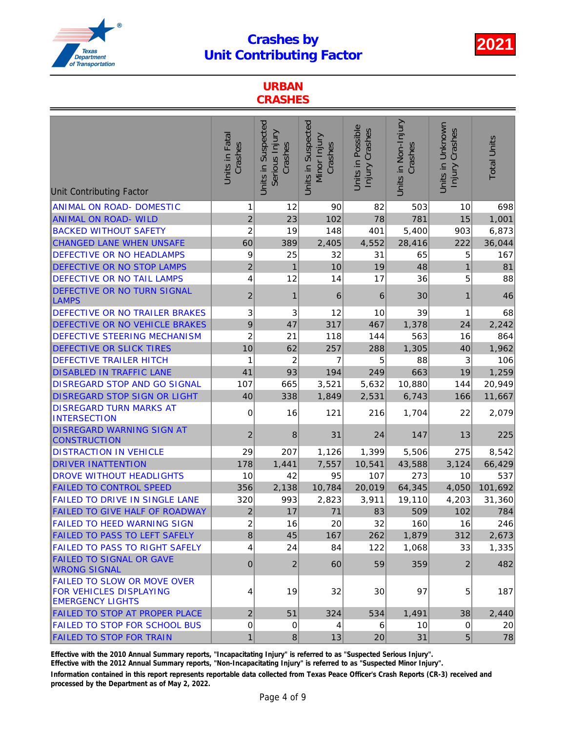

### URBAN **CRASHES**

| <b>Unit Contributing Factor</b>                                                                 | Units in Fatal<br>Crashes | Units in Suspected<br>Serious Injury<br>Crashes | Units in Suspected<br>Minor Injury<br>Crashes | Units in Possible<br>Injury Crashes | Units in Non-Injury<br>Crashes | Units in Unknown<br>Injury Crashes | <b>Total Units</b> |
|-------------------------------------------------------------------------------------------------|---------------------------|-------------------------------------------------|-----------------------------------------------|-------------------------------------|--------------------------------|------------------------------------|--------------------|
| <b>ANIMAL ON ROAD- DOMESTIC</b>                                                                 | 1                         | 12                                              | 90                                            | 82                                  | 503                            | 10                                 | 698                |
| ANIMAL ON ROAD-WILD                                                                             | $\overline{c}$            | 23                                              | 102                                           | 78                                  | 781                            | 15                                 | 1,001              |
| <b>BACKED WITHOUT SAFETY</b>                                                                    | $\overline{\mathbf{c}}$   | 19                                              | 148                                           | 401                                 | 5,400                          | 903                                | 6,873              |
| <b>CHANGED LANE WHEN UNSAFE</b>                                                                 | 60                        | 389                                             | 2,405                                         | 4,552                               | 28,416                         | 222                                | 36,044             |
| <b>DEFECTIVE OR NO HEADLAMPS</b>                                                                | 9                         | 25                                              | 32                                            | 31                                  | 65                             | 5                                  | 167                |
| DEFECTIVE OR NO STOP LAMPS                                                                      | $\boldsymbol{2}$          | $\overline{1}$                                  | 10                                            | 19                                  | 48                             | $\mathbf{1}$                       | 81                 |
| <b>DEFECTIVE OR NO TAIL LAMPS</b>                                                               | 4                         | 12                                              | 14                                            | 17                                  | 36                             | 5                                  | 88                 |
| <b>DEFECTIVE OR NO TURN SIGNAL</b><br><b>LAMPS</b>                                              | $\overline{c}$            | 1                                               | 6                                             | 6                                   | 30                             | 1                                  | 46                 |
| <b>DEFECTIVE OR NO TRAILER BRAKES</b>                                                           | 3                         | 3                                               | 12                                            | 10                                  | 39                             | 1                                  | 68                 |
| DEFECTIVE OR NO VEHICLE BRAKES                                                                  | 9                         | 47                                              | 317                                           | 467                                 | 1,378                          | 24                                 | 2,242              |
| <b>DEFECTIVE STEERING MECHANISM</b>                                                             | $\overline{\mathbf{c}}$   | 21                                              | 118                                           | 144                                 | 563                            | 16                                 | 864                |
| <b>DEFECTIVE OR SLICK TIRES</b>                                                                 | 10                        | 62                                              | 257                                           | 288                                 | 1,305                          | 40                                 | 1,962              |
| <b>DEFECTIVE TRAILER HITCH</b>                                                                  | 1                         | $\overline{c}$                                  | $\overline{7}$                                | 5                                   | 88                             | 3                                  | 106                |
| <b>DISABLED IN TRAFFIC LANE</b>                                                                 | 41                        | 93                                              | 194                                           | 249                                 | 663                            | 19                                 | 1,259              |
| <b>DISREGARD STOP AND GO SIGNAL</b>                                                             | 107                       | 665                                             | 3,521                                         | 5,632                               | 10,880                         | 144                                | 20,949             |
| <b>DISREGARD STOP SIGN OR LIGHT</b>                                                             | 40                        | 338                                             | 1,849                                         | 2,531                               | 6,743                          | 166                                | 11,667             |
| <b>DISREGARD TURN MARKS AT</b><br><b>INTERSECTION</b>                                           | 0                         | 16                                              | 121                                           | 216                                 | 1,704                          | 22                                 | 2,079              |
| <b>DISREGARD WARNING SIGN AT</b><br><b>CONSTRUCTION</b>                                         | 2                         | 8                                               | 31                                            | 24                                  | 147                            | 13                                 | 225                |
| <b>DISTRACTION IN VEHICLE</b>                                                                   | 29                        | 207                                             | 1,126                                         | 1,399                               | 5,506                          | 275                                | 8,542              |
| <b>DRIVER INATTENTION</b>                                                                       | 178                       | 1,441                                           | 7,557                                         | 10,541                              | 43,588                         | 3,124                              | 66,429             |
| <b>DROVE WITHOUT HEADLIGHTS</b>                                                                 | 10                        | 42                                              | 95                                            | 107                                 | 273                            | 10                                 | 537                |
| <b>FAILED TO CONTROL SPEED</b>                                                                  | 356                       | 2,138                                           | 10,784                                        | 20,019                              | 64,345                         | 4,050                              | 101,692            |
| <b>FAILED TO DRIVE IN SINGLE LANE</b>                                                           | 320                       | 993                                             | 2,823                                         | 3,911                               | 19,110                         | 4,203                              | 31,360             |
| <b>FAILED TO GIVE HALF OF ROADWAY</b>                                                           | $\overline{c}$            | 17                                              | 71                                            | 83                                  | 509                            | 102                                | 784                |
| FAILED TO HEED WARNING SIGN                                                                     | $\overline{2}$            | 16                                              | $20\,$                                        | 32                                  | 160                            | 16                                 | 246                |
| <b>FAILED TO PASS TO LEFT SAFELY</b>                                                            | $\bf{8}$                  | 45                                              | 167                                           | 262                                 | 1,879                          | 312                                | 2,673              |
| <b>FAILED TO PASS TO RIGHT SAFELY</b>                                                           | 4                         | 24                                              | 84                                            | 122                                 | 1,068                          | 33                                 | 1,335              |
| <b>FAILED TO SIGNAL OR GAVE</b><br><b>WRONG SIGNAL</b>                                          | $\mathbf{0}$              | $\overline{2}$                                  | 60                                            | 59                                  | 359                            | $\overline{2}$                     | 482                |
| <b>FAILED TO SLOW OR MOVE OVER</b><br><b>FOR VEHICLES DISPLAYING</b><br><b>EMERGENCY LIGHTS</b> | $\overline{4}$            | 19                                              | 32                                            | 30                                  | 97                             | $5\phantom{.0}$                    | 187                |
| FAILED TO STOP AT PROPER PLACE                                                                  | $\mathbf 2$               | 51                                              | 324                                           | 534                                 | 1,491                          | 38                                 | 2,440              |
| <b>FAILED TO STOP FOR SCHOOL BUS</b>                                                            | 0                         | 0                                               | 4                                             | 6                                   | 10                             | 0                                  | 20 <sub>1</sub>    |
| <b>FAILED TO STOP FOR TRAIN</b>                                                                 | $\mathbf{1}$              | $\bf 8$                                         | 13                                            | 20                                  | 31                             | $5\overline{)}$                    | 78                 |

Effective with the 2010 Annual Summary reports, "Incapacitating Injury" is referred to as "Suspected Serious Injury".

Effective with the 2012 Annual Summary reports, "Non-Incapacitating Injury" is referred to as "Suspected Minor Injury".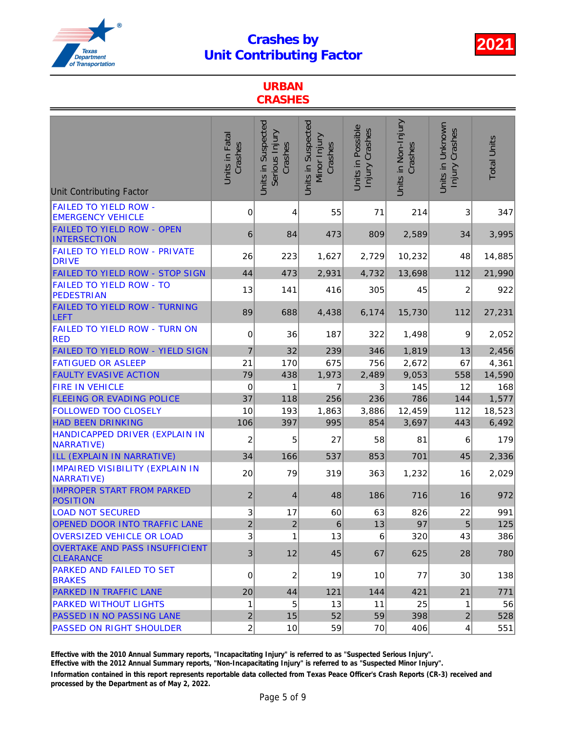

### URBAN **CRASHES**

| <b>Unit Contributing Factor</b>                          | Units in Fatal<br>Crashes | Units in Suspected<br>Serious Injury<br>Crashes | Units in Suspected<br>Minor Injury<br>Crashes | Units in Possible<br>Injury Crashes | Units in Non-Injury<br>Crashes | Units in Unknown<br>Injury Crashes | <b>Total Units</b> |
|----------------------------------------------------------|---------------------------|-------------------------------------------------|-----------------------------------------------|-------------------------------------|--------------------------------|------------------------------------|--------------------|
| <b>FAILED TO YIELD ROW -</b><br><b>EMERGENCY VEHICLE</b> | 0                         | 4                                               | 55                                            | 71                                  | 214                            | 3                                  | 347                |
| <b>FAILED TO YIELD ROW - OPEN</b><br><b>INTERSECTION</b> | 6                         | 84                                              | 473                                           | 809                                 | 2,589                          | 34                                 | 3,995              |
| <b>FAILED TO YIELD ROW - PRIVATE</b><br><b>DRIVE</b>     | 26                        | 223                                             | 1,627                                         | 2,729                               | 10,232                         | 48                                 | 14,885             |
| FAILED TO YIELD ROW - STOP SIGN                          | 44                        | 473                                             | 2,931                                         | 4,732                               | 13,698                         | 112                                | 21,990             |
| <b>FAILED TO YIELD ROW - TO</b><br><b>PEDESTRIAN</b>     | 13                        | 141                                             | 416                                           | 305                                 | 45                             | 2                                  | 922                |
| <b>FAILED TO YIELD ROW - TURNING</b><br>LEFT             | 89                        | 688                                             | 4,438                                         | 6,174                               | 15,730                         | 112                                | 27,231             |
| FAILED TO YIELD ROW - TURN ON<br><b>RED</b>              | 0                         | 36                                              | 187                                           | 322                                 | 1,498                          | 9                                  | 2,052              |
| FAILED TO YIELD ROW - YIELD SIGN                         | $\overline{7}$            | 32                                              | 239                                           | 346                                 | 1,819                          | 13                                 | 2,456              |
| <b>FATIGUED OR ASLEEP</b>                                | 21                        | 170                                             | 675                                           | 756                                 | 2,672                          | 67                                 | 4,361              |
| <b>FAULTY EVASIVE ACTION</b>                             | 79                        | 438                                             | 1,973                                         | 2,489                               | 9,053                          | 558                                | 14,590             |
| <b>FIRE IN VEHICLE</b>                                   | 0                         | 1                                               | 7                                             | 3                                   | 145                            | 12                                 | 168                |
| <b>FLEEING OR EVADING POLICE</b>                         | 37                        | 118                                             | 256                                           | 236                                 | 786                            | 144                                | 1,577              |
| <b>FOLLOWED TOO CLOSELY</b>                              | 10                        | 193                                             | 1,863                                         | 3,886                               | 12,459                         | 112                                | 18,523             |
| <b>HAD BEEN DRINKING</b>                                 | 106                       | 397                                             | 995                                           | 854                                 | 3,697                          | 443                                | 6,492              |
| HANDICAPPED DRIVER (EXPLAIN IN<br><b>NARRATIVE)</b>      | 2                         | 5                                               | 27                                            | 58                                  | 81                             | 6                                  | 179                |
| ILL (EXPLAIN IN NARRATIVE)                               | 34                        | 166                                             | 537                                           | 853                                 | 701                            | 45                                 | 2,336              |
| IMPAIRED VISIBILITY (EXPLAIN IN<br>NARRATIVE)            | 20                        | 79                                              | 319                                           | 363                                 | 1,232                          | 16                                 | 2,029              |
| <b>IMPROPER START FROM PARKED</b><br><b>POSITION</b>     | $\overline{\mathbf{c}}$   | 4                                               | 48                                            | 186                                 | 716                            | 16                                 | 972                |
| <b>LOAD NOT SECURED</b>                                  | 3                         | 17                                              | 60                                            | 63                                  | 826                            | 22                                 | 991                |
| OPENED DOOR INTO TRAFFIC LANE                            | $\overline{c}$            | $\mathbf 2$                                     | $\,6\,$                                       | 13                                  | 97                             | $\overline{5}$                     | 125                |
| <b>OVERSIZED VEHICLE OR LOAD</b>                         | 3                         | 1                                               | 13                                            | 6                                   | 320                            | 43                                 | 386                |
| OVERTAKE AND PASS INSUFFICIENT<br><b>CLEARANCE</b>       | 3                         | 12                                              | 45                                            | 67                                  | 625                            | 28                                 | 780                |
| <b>PARKED AND FAILED TO SET</b><br><b>BRAKES</b>         | $\pmb{0}$                 | 2                                               | 19                                            | 10                                  | 77                             | 30                                 | 138                |
| <b>PARKED IN TRAFFIC LANE</b>                            | 20                        | 44                                              | 121                                           | 144                                 | 421                            | 21                                 | 771                |
| <b>PARKED WITHOUT LIGHTS</b>                             | 1                         | 5                                               | 13                                            | 11                                  | 25                             | 1                                  | 56                 |
| PASSED IN NO PASSING LANE                                | $\overline{c}$            | 15                                              | 52                                            | 59                                  | 398                            | $\overline{2}$                     | 528                |
| <b>PASSED ON RIGHT SHOULDER</b>                          | $\overline{2}$            | 10                                              | 59                                            | 70                                  | 406                            | $\vert$                            | 551                |

Effective with the 2010 Annual Summary reports, "Incapacitating Injury" is referred to as "Suspected Serious Injury".

Effective with the 2012 Annual Summary reports, "Non-Incapacitating Injury" is referred to as "Suspected Minor Injury".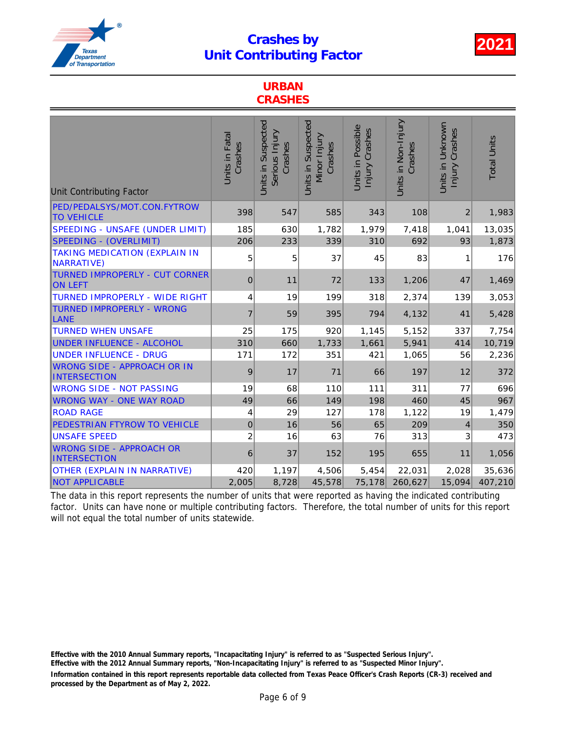

#### URBAN **CRASHES**

| <b>Unit Contributing Factor</b>                    | Units in Fatal<br>Crashes | Units in Suspected<br>Serious Injury<br>Crashes | Units in Suspected<br>Minor Injury<br>Crashes | <b>Jnits in Possible</b><br>Injury Crashes | Units in Non-Injury<br>Crashes | Units in Unknown<br>Injury Crashes | <b>Total Units</b> |
|----------------------------------------------------|---------------------------|-------------------------------------------------|-----------------------------------------------|--------------------------------------------|--------------------------------|------------------------------------|--------------------|
| PED/PEDALSYS/MOT.CON.FYTROW<br><b>TO VEHICLE</b>   | 398                       | 547                                             | 585                                           | 343                                        | 108                            | $\overline{c}$                     | 1,983              |
| SPEEDING - UNSAFE (UNDER LIMIT)                    | 185                       | 630                                             | 1,782                                         | 1,979                                      | 7,418                          | 1,041                              | 13,035             |
| <b>SPEEDING - (OVERLIMIT)</b>                      | 206                       | 233                                             | 339                                           | 310                                        | 692                            | 93                                 | 1,873              |
| <b>TAKING MEDICATION (EXPLAIN IN</b><br>NARRATIVE) | 5                         | 5                                               | 37                                            | 45                                         | 83                             | 1                                  | 176                |
| TURNED IMPROPERLY - CUT CORNER<br><b>ON LEFT</b>   | 0                         | 11                                              | 72                                            | 133                                        | 1,206                          | 47                                 | 1,469              |
| <b>TURNED IMPROPERLY - WIDE RIGHT</b>              | 4                         | 19                                              | 199                                           | 318                                        | 2,374                          | 139                                | 3,053              |
| <b>TURNED IMPROPERLY - WRONG</b><br>LANE           | $\overline{7}$            | 59                                              | 395                                           | 794                                        | 4,132                          | 41                                 | 5,428              |
| <b>TURNED WHEN UNSAFE</b>                          | 25                        | 175                                             | 920                                           | 1,145                                      | 5,152                          | 337                                | 7,754              |
| UNDER INFLUENCE - ALCOHOL                          | 310                       | 660                                             | 1,733                                         | 1,661                                      | 5,941                          | 414                                | 10,719             |
| <b>UNDER INFLUENCE - DRUG</b>                      | 171                       | 172                                             | 351                                           | 421                                        | 1,065                          | 56                                 | 2,236              |
| <b>WRONG SIDE - APPROACH OR IN</b><br>INTERSECTION | 9                         | 17                                              | 71                                            | 66                                         | 197                            | 12                                 | 372                |
| <b>WRONG SIDE - NOT PASSING</b>                    | 19                        | 68                                              | 110                                           | 111                                        | 311                            | 77                                 | 696                |
| <b>WRONG WAY - ONE WAY ROAD</b>                    | 49                        | 66                                              | 149                                           | 198                                        | 460                            | 45                                 | 967                |
| <b>ROAD RAGE</b>                                   | 4                         | 29                                              | 127                                           | 178                                        | 1,122                          | 19                                 | 1,479              |
| PEDESTRIAN FTYROW TO VEHICLE                       | $\mathbf 0$               | 16                                              | 56                                            | 65                                         | 209                            | 4                                  | 350                |
| <b>UNSAFE SPEED</b>                                | $\overline{c}$            | 16                                              | 63                                            | 76                                         | 313                            | 3                                  | 473                |
| <b>WRONG SIDE - APPROACH OR</b><br>INTERSECTION    | 6                         | 37                                              | 152                                           | 195                                        | 655                            | 11                                 | 1,056              |
| <b>OTHER (EXPLAIN IN NARRATIVE)</b>                | 420                       | 1,197                                           | 4,506                                         | 5,454                                      | 22,031                         | 2,028                              | 35,636             |
| <b>NOT APPLICABLE</b>                              | 2,005                     | 8,728                                           | 45,578                                        | 75,178                                     | 260,627                        | 15,094                             | 407,210            |

The data in this report represents the number of units that were reported as having the indicated contributing factor. Units can have none or multiple contributing factors. Therefore, the total number of units for this report will not equal the total number of units statewide.

Information contained in this report represents reportable data collected from Texas Peace Officer's Crash Reports (CR-3) received and processed by the Department as of May 2, 2022. Effective with the 2010 Annual Summary reports, "Incapacitating Injury" is referred to as "Suspected Serious Injury". Effective with the 2012 Annual Summary reports, "Non-Incapacitating Injury" is referred to as "Suspected Minor Injury".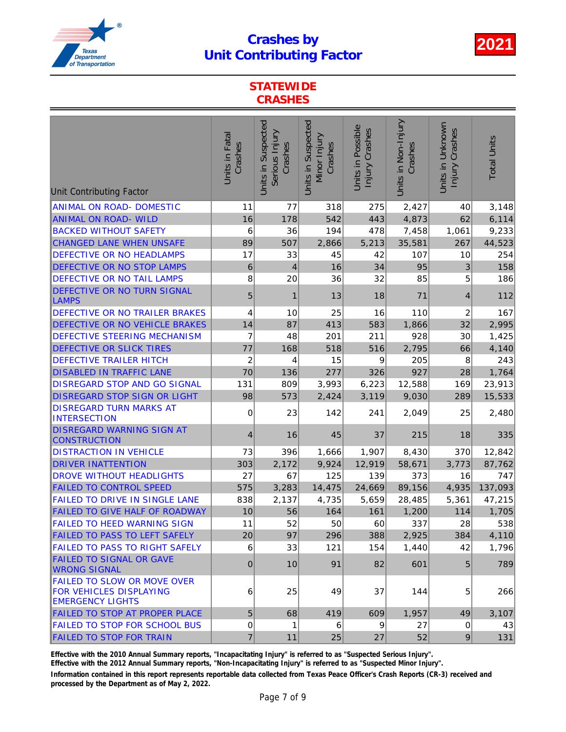

### **STATEWIDE CRASHES**

| <b>Unit Contributing Factor</b>                                                                 | Units in Fatal<br>Crashes | Units in Suspected<br>Serious Injury<br>Crashes | Units in Suspected<br>Minor Injury<br>Crashes | Units in Possible<br>Injury Crashes | Units in Non-Injury<br>Crashes | Units in Unknown<br>Injury Crashes | <b>Total Units</b> |
|-------------------------------------------------------------------------------------------------|---------------------------|-------------------------------------------------|-----------------------------------------------|-------------------------------------|--------------------------------|------------------------------------|--------------------|
|                                                                                                 |                           |                                                 |                                               |                                     |                                |                                    |                    |
| <b>ANIMAL ON ROAD- DOMESTIC</b><br><b>ANIMAL ON ROAD- WILD</b>                                  | 11<br>16                  | 77                                              | 318<br>542                                    | 275<br>443                          | 2,427                          | 40                                 | 3,148              |
| <b>BACKED WITHOUT SAFETY</b>                                                                    | 6                         | 178<br>36                                       | 194                                           | 478                                 | 4,873                          | 62<br>1,061                        | 6,114              |
| <b>CHANGED LANE WHEN UNSAFE</b>                                                                 | 89                        | 507                                             | 2,866                                         | 5,213                               | 7,458<br>35,581                | 267                                | 9,233<br>44,523    |
| DEFECTIVE OR NO HEADLAMPS                                                                       | 17                        | 33                                              | 45                                            | 42                                  | 107                            | 10                                 | 254                |
| DEFECTIVE OR NO STOP LAMPS                                                                      | 6                         | $\overline{\mathcal{L}}$                        | 16                                            | 34                                  | 95                             | 3                                  | 158                |
| DEFECTIVE OR NO TAIL LAMPS                                                                      | 8                         | 20                                              | 36                                            | 32                                  | 85                             | 5                                  | 186                |
| DEFECTIVE OR NO TURN SIGNAL                                                                     |                           |                                                 |                                               |                                     |                                |                                    |                    |
| <b>LAMPS</b>                                                                                    | 5                         | 1                                               | 13                                            | 18                                  | 71                             | 4                                  | 112                |
| DEFECTIVE OR NO TRAILER BRAKES                                                                  | 4                         | 10                                              | 25                                            | 16                                  | 110                            | 2                                  | 167                |
| DEFECTIVE OR NO VEHICLE BRAKES                                                                  | 14                        | 87                                              | 413                                           | 583                                 | 1,866                          | 32                                 | 2,995              |
| DEFECTIVE STEERING MECHANISM                                                                    | $\overline{7}$            | 48                                              | 201                                           | 211                                 | 928                            | 30                                 | 1,425              |
| DEFECTIVE OR SLICK TIRES                                                                        | 77                        | 168                                             | 518                                           | 516                                 | 2,795                          | 66                                 | 4,140              |
| <b>DEFECTIVE TRAILER HITCH</b>                                                                  | $\overline{\mathbf{c}}$   | 4                                               | 15                                            | 9                                   | 205                            | 8                                  | 243                |
| <b>DISABLED IN TRAFFIC LANE</b>                                                                 | 70                        | 136                                             | 277                                           | 326                                 | 927                            | 28                                 | 1,764              |
| DISREGARD STOP AND GO SIGNAL                                                                    | 131                       | 809                                             | 3,993                                         | 6,223                               | 12,588                         | 169                                | 23,913             |
| <b>DISREGARD STOP SIGN OR LIGHT</b>                                                             | 98                        | 573                                             | 2,424                                         | 3,119                               | 9,030                          | 289                                | 15,533             |
| <b>DISREGARD TURN MARKS AT</b><br><b>INTERSECTION</b>                                           | 0                         | 23                                              | 142                                           | 241                                 | 2,049                          | 25                                 | 2,480              |
| <b>DISREGARD WARNING SIGN AT</b><br><b>CONSTRUCTION</b>                                         | 4                         | 16                                              | 45                                            | 37                                  | 215                            | 18                                 | 335                |
| <b>DISTRACTION IN VEHICLE</b>                                                                   | 73                        | 396                                             | 1,666                                         | 1,907                               | 8,430                          | 370                                | 12,842             |
| <b>DRIVER INATTENTION</b>                                                                       | 303                       | 2,172                                           | 9,924                                         | 12,919                              | 58,671                         | 3,773                              | 87,762             |
| <b>DROVE WITHOUT HEADLIGHTS</b>                                                                 | 27                        | 67                                              | 125                                           | 139                                 | 373                            | 16                                 | 747                |
| <b>FAILED TO CONTROL SPEED</b>                                                                  | 575                       | 3,283                                           | 14,475                                        | 24,669                              | 89,156                         | 4,935                              | 137,093            |
| FAILED TO DRIVE IN SINGLE LANE                                                                  | 838                       | 2,137                                           | 4,735                                         | 5,659                               | 28,485                         | 5,361                              | 47,215             |
| FAILED TO GIVE HALF OF ROADWAY                                                                  | 10                        | 56                                              | 164                                           | 161                                 | 1,200                          | 114                                | 1,705              |
| <b>FAILED TO HEED WARNING SIGN</b>                                                              | 11                        | 52                                              | 50                                            | 60                                  | 337                            | 28                                 | 538                |
| <b>FAILED TO PASS TO LEFT SAFELY</b>                                                            | 20                        | 97                                              | 296                                           | 388                                 | 2,925                          | 384                                | 4,110              |
| <b>FAILED TO PASS TO RIGHT SAFELY</b>                                                           | 6                         | 33                                              | 121                                           | 154                                 | 1,440                          | 42                                 | 1,796              |
| <b>FAILED TO SIGNAL OR GAVE</b><br><b>WRONG SIGNAL</b>                                          | 0                         | 10                                              | 91                                            | 82                                  | 601                            | 5                                  | 789                |
| <b>FAILED TO SLOW OR MOVE OVER</b><br><b>FOR VEHICLES DISPLAYING</b><br><b>EMERGENCY LIGHTS</b> | 6                         | 25                                              | 49                                            | 37                                  | 144                            | 5                                  | 266                |
| <b>FAILED TO STOP AT PROPER PLACE</b>                                                           | 5                         | 68                                              | 419                                           | 609                                 | 1,957                          | 49                                 | 3,107              |
| <b>FAILED TO STOP FOR SCHOOL BUS</b>                                                            | 0                         | 1                                               | 6                                             | 9                                   | 27                             | $\mathbf 0$                        | 43                 |
| <b>FAILED TO STOP FOR TRAIN</b>                                                                 | $\overline{7}$            | 11                                              | 25                                            | 27                                  | 52                             | $\overline{9}$                     | 131                |

Effective with the 2010 Annual Summary reports, "Incapacitating Injury" is referred to as "Suspected Serious Injury".

Effective with the 2012 Annual Summary reports, "Non-Incapacitating Injury" is referred to as "Suspected Minor Injury".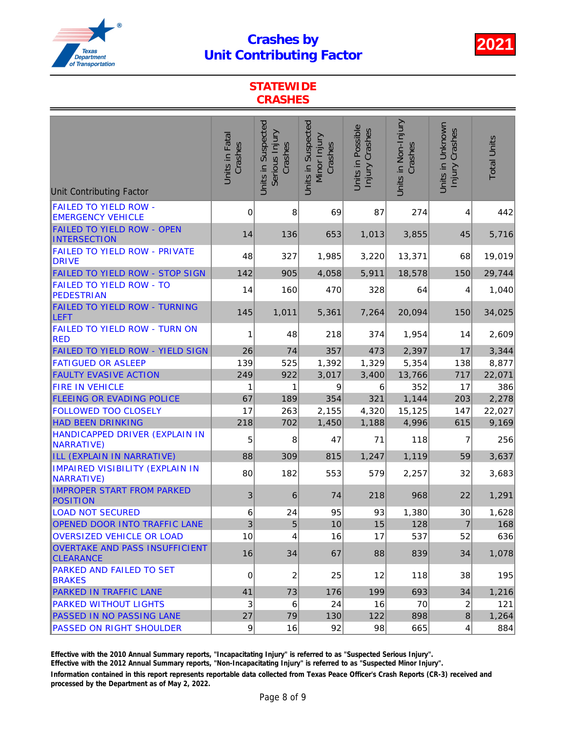

### **STATEWIDE CRASHES**

| <b>Unit Contributing Factor</b>                             | Units in Fatal<br>Crashes | Units in Suspected<br>Serious Injury<br>Crashes | Units in Suspected<br>Minor Injury<br>Crashes | Units in Possible<br>Injury Crashes | Units in Non-Injury<br>Crashes | Units in Unknown<br>Injury Crashes | <b>Total Units</b> |
|-------------------------------------------------------------|---------------------------|-------------------------------------------------|-----------------------------------------------|-------------------------------------|--------------------------------|------------------------------------|--------------------|
| <b>FAILED TO YIELD ROW -</b><br><b>EMERGENCY VEHICLE</b>    | 0                         | 8                                               | 69                                            | 87                                  | 274                            | 4                                  | 442                |
| <b>FAILED TO YIELD ROW - OPEN</b><br><b>INTERSECTION</b>    | 14                        | 136                                             | 653                                           | 1,013                               | 3,855                          | 45                                 | 5,716              |
| <b>FAILED TO YIELD ROW - PRIVATE</b><br><b>DRIVE</b>        | 48                        | 327                                             | 1,985                                         | 3,220                               | 13,371                         | 68                                 | 19,019             |
| FAILED TO YIELD ROW - STOP SIGN                             | 142                       | 905                                             | 4,058                                         | 5,911                               | 18,578                         | 150                                | 29,744             |
| <b>FAILED TO YIELD ROW - TO</b><br><b>PEDESTRIAN</b>        | 14                        | 160                                             | 470                                           | 328                                 | 64                             | 4                                  | 1,040              |
| <b>FAILED TO YIELD ROW - TURNING</b><br><b>LEFT</b>         | 145                       | 1,011                                           | 5,361                                         | 7,264                               | 20,094                         | 150                                | 34,025             |
| <b>FAILED TO YIELD ROW - TURN ON</b><br><b>RED</b>          | 1                         | 48                                              | 218                                           | 374                                 | 1,954                          | 14                                 | 2,609              |
| FAILED TO YIELD ROW - YIELD SIGN                            | 26                        | 74                                              | 357                                           | 473                                 | 2,397                          | 17                                 | 3,344              |
| <b>FATIGUED OR ASLEEP</b>                                   | 139                       | 525                                             | 1,392                                         | 1,329                               | 5,354                          | 138                                | 8,877              |
| <b>FAULTY EVASIVE ACTION</b>                                | 249                       | 922                                             | 3,017                                         | 3,400                               | 13,766                         | 717                                | 22,071             |
| <b>FIRE IN VEHICLE</b>                                      | 1                         | 1                                               | 9                                             | 6                                   | 352                            | 17                                 | 386                |
| <b>FLEEING OR EVADING POLICE</b>                            | 67                        | 189                                             | 354                                           | 321                                 | 1,144                          | 203                                | 2,278              |
| <b>FOLLOWED TOO CLOSELY</b>                                 | 17                        | 263                                             | 2,155                                         | 4,320                               | 15,125                         | 147                                | 22,027             |
| <b>HAD BEEN DRINKING</b>                                    | 218                       | 702                                             | 1,450                                         | 1,188                               | 4,996                          | 615                                | 9,169              |
| HANDICAPPED DRIVER (EXPLAIN IN<br><b>NARRATIVE)</b>         | 5                         | 8                                               | 47                                            | 71                                  | 118                            | 7                                  | 256                |
| ILL (EXPLAIN IN NARRATIVE)                                  | 88                        | 309                                             | 815                                           | 1,247                               | 1,119                          | 59                                 | 3,637              |
| <b>IMPAIRED VISIBILITY (EXPLAIN IN</b><br><b>NARRATIVE)</b> | 80                        | 182                                             | 553                                           | 579                                 | 2,257                          | 32                                 | 3,683              |
| <b>IMPROPER START FROM PARKED</b><br><b>POSITION</b>        | 3                         | 6                                               | 74                                            | 218                                 | 968                            | 22                                 | 1,291              |
| <b>LOAD NOT SECURED</b>                                     | 6                         | 24                                              | 95                                            | 93                                  | 1,380                          | 30                                 | 1,628              |
| <b>OPENED DOOR INTO TRAFFIC LANE</b>                        | $\overline{3}$            | 5                                               | 10                                            | 15                                  | 128                            | $\boldsymbol{7}$                   | 168                |
| <b>OVERSIZED VEHICLE OR LOAD</b>                            | 10                        | 4                                               | 16                                            | 17                                  | 537                            | 52                                 | 636                |
| <b>OVERTAKE AND PASS INSUFFICIENT</b><br><b>CLEARANCE</b>   | 16                        | 34                                              | 67                                            | 88                                  | 839                            | 34                                 | 1,078              |
| PARKED AND FAILED TO SET<br><b>BRAKES</b>                   | 0                         | $\overline{c}$                                  | 25                                            | 12                                  | 118                            | 38                                 | 195                |
| <b>PARKED IN TRAFFIC LANE</b>                               | 41                        | 73                                              | 176                                           | 199                                 | 693                            | 34                                 | 1,216              |
| <b>PARKED WITHOUT LIGHTS</b>                                | 3                         | 6                                               | 24                                            | 16                                  | 70                             | $\overline{c}$                     | 121                |
| PASSED IN NO PASSING LANE                                   | 27                        | 79                                              | 130                                           | 122                                 | 898                            | $\bf 8$                            | 1,264              |
| <b>PASSED ON RIGHT SHOULDER</b>                             | 9                         | 16                                              | 92                                            | 98                                  | 665                            | $\overline{\mathbf{4}}$            | 884                |

Effective with the 2010 Annual Summary reports, "Incapacitating Injury" is referred to as "Suspected Serious Injury".

Effective with the 2012 Annual Summary reports, "Non-Incapacitating Injury" is referred to as "Suspected Minor Injury".